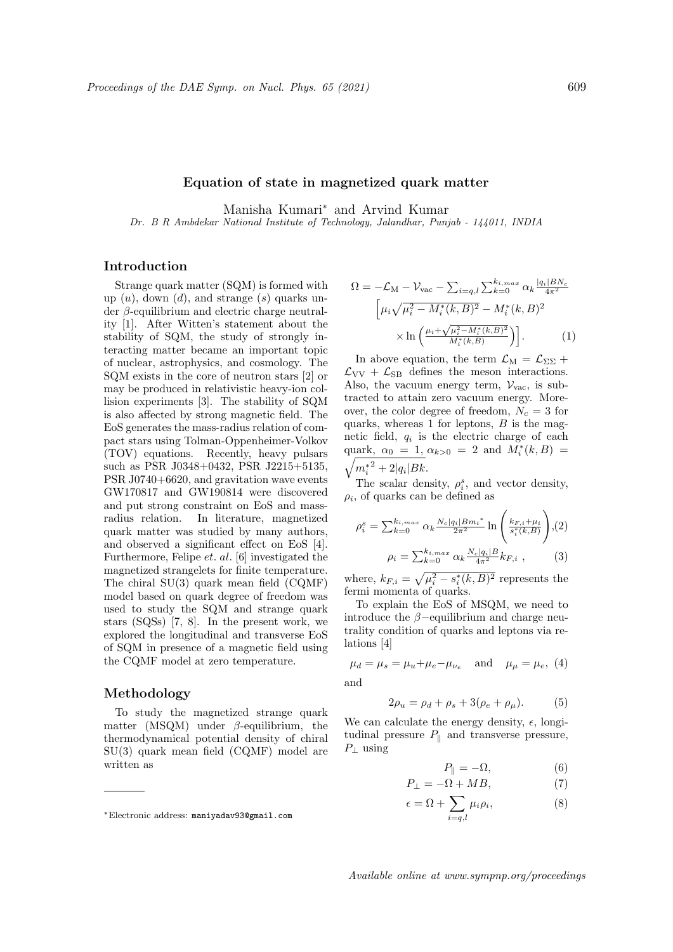# Equation of state in magnetized quark matter

Manisha Kumari<sup>∗</sup> and Arvind Kumar

Dr. B R Ambdekar National Institute of Technology, Jalandhar, Punjab - 144011, INDIA

### Introduction

Strange quark matter (SQM) is formed with up  $(u)$ , down  $(d)$ , and strange  $(s)$  quarks under β-equilibrium and electric charge neutrality [1]. After Witten's statement about the stability of SQM, the study of strongly interacting matter became an important topic of nuclear, astrophysics, and cosmology. The SQM exists in the core of neutron stars [2] or may be produced in relativistic heavy-ion collision experiments [3]. The stability of SQM is also affected by strong magnetic field. The EoS generates the mass-radius relation of compact stars using Tolman-Oppenheimer-Volkov (TOV) equations. Recently, heavy pulsars such as PSR J0348+0432, PSR J2215+5135, PSR J0740+6620, and gravitation wave events GW170817 and GW190814 were discovered and put strong constraint on EoS and massradius relation. In literature, magnetized quark matter was studied by many authors, and observed a significant effect on EoS [4]. Furthermore, Felipe et. al. [6] investigated the magnetized strangelets for finite temperature. The chiral SU(3) quark mean field (CQMF) model based on quark degree of freedom was used to study the SQM and strange quark stars (SQSs) [7, 8]. In the present work, we explored the longitudinal and transverse EoS of SQM in presence of a magnetic field using the CQMF model at zero temperature.

# Methodology

To study the magnetized strange quark matter (MSQM) under  $\beta$ -equilibrium, the thermodynamical potential density of chiral SU(3) quark mean field (CQMF) model are written as

$$
\Omega = -\mathcal{L}_{\mathrm{M}} - \mathcal{V}_{\mathrm{vac}} - \sum_{i=q,l} \sum_{k=0}^{k_{i,max}} \alpha_k \frac{|q_i|BN_c}{4\pi^2} \left[ \mu_i \sqrt{\mu_i^2 - M_i^*(k, B)^2} - M_i^*(k, B)^2 \right] \times \ln \left( \frac{\mu_i + \sqrt{\mu_i^2 - M_i^*(k, B)^2}}{M_i^*(k, B)} \right) \right].
$$
 (1)

In above equation, the term  $\mathcal{L}_{M} = \mathcal{L}_{\Sigma\Sigma} +$  $\mathcal{L}_{\text{VV}} + \mathcal{L}_{\text{SB}}$  defines the meson interactions. Also, the vacuum energy term,  $V_{\text{vac}}$ , is subtracted to attain zero vacuum energy. Moreover, the color degree of freedom,  $N_c = 3$  for quarks, whereas 1 for leptons,  $B$  is the magnetic field,  $q_i$  is the electric charge of each quark,  $\alpha_0 = 1, \, \alpha_{k>0} = 2$  and  $M_i^*(k, B) =$  $\sqrt{m_i^{*2} + 2|q_i|Bk}.$ 

The scalar density,  $\rho_i^s$ , and vector density,  $\rho_i$ , of quarks can be defined as

$$
\rho_i^s = \sum_{k=0}^{k_{i,max}} \alpha_k \frac{N_c |q_i| B m_i^*}{2\pi^2} \ln \left( \frac{k_{F,i} + \mu_i}{s_i^*(k, B)} \right), (2)
$$

$$
\rho_i = \sum_{k=0}^{k_{i,max}} \alpha_k \frac{N_c |q_i| B}{4\pi^2} k_{F,i} \,, \tag{3}
$$

where,  $k_{F,i} = \sqrt{\mu_i^2 - s_i^*(k, B)^2}$  represents the fermi momenta of quarks.

To explain the EoS of MSQM, we need to introduce the  $\beta$ -equilibrium and charge neutrality condition of quarks and leptons via relations [4]

$$
\mu_d = \mu_s = \mu_u + \mu_e - \mu_{\nu_e} \quad \text{and} \quad \mu_\mu = \mu_e, (4)
$$

and

$$
2\rho_u = \rho_d + \rho_s + 3(\rho_e + \rho_\mu). \tag{5}
$$

We can calculate the energy density,  $\epsilon$ , longitudinal pressure  $P_{\parallel}$  and transverse pressure,  $P_{\perp}$  using

$$
P_{\parallel} = -\Omega, \tag{6}
$$

$$
P_{\perp} = -\Omega + MB,\tag{7}
$$

$$
\epsilon = \Omega + \sum_{i=q,l} \mu_i \rho_i,\tag{8}
$$

<sup>∗</sup>Electronic address: maniyadav93@gmail.com